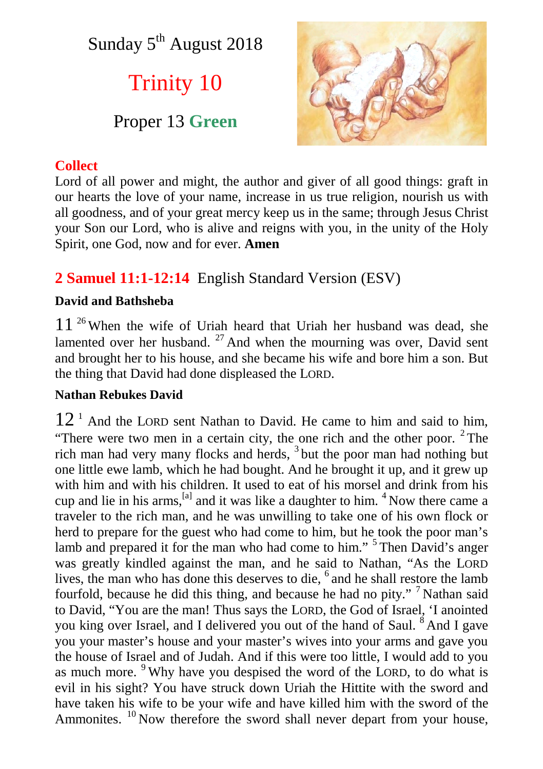Sunday  $5<sup>th</sup>$  August 2018

# Trinity 10

## Proper 13 **Green**



## **Collect**

Lord of all power and might, the author and giver of all good things: graft in our hearts the love of your name, increase in us true religion, nourish us with all goodness, and of your great mercy keep us in the same; through Jesus Christ your Son our Lord, who is alive and reigns with you, in the unity of the Holy Spirit, one God, now and for ever. **Amen**

## **2 Samuel 11:1-12:14** English Standard Version (ESV)

## **David and Bathsheba**

 $11<sup>26</sup>$  When the wife of Uriah heard that Uriah her husband was dead, she lamented over her husband.  $27$  And when the mourning was over, David sent and brought her to his house, and she became his wife and bore him a son. But the thing that David had done displeased the LORD.

### **Nathan Rebukes David**

 $12<sup>1</sup>$  And the LORD sent Nathan to David. He came to him and said to him, "There were two men in a certain city, the one rich and the other poor.  $2$  The rich man had very many flocks and herds, <sup>3</sup> but the poor man had nothing but one little ewe lamb, which he had bought. And he brought it up, and it grew up with him and with his children. It used to eat of his morsel and drink from his cup and lie in his arms,  $^{[a]}$  and it was like a daughter to him.  $^{4}$  Now there came a traveler to the rich man, and he was unwilling to take one of his own flock or herd to prepare for the guest who had come to him, but he took the poor man's lamb and prepared it for the man who had come to him."<sup>5</sup> Then David's anger was greatly kindled against the man, and he said to Nathan, "As the LORD lives, the man who has done this deserves to die, <sup>6</sup> and he shall restore the lamb fourfold, because he did this thing, and because he had no pity." <sup>7</sup> Nathan said to David, "You are the man! Thus says the LORD, the God of Israel, 'I anointed you king over Israel, and I delivered you out of the hand of Saul. <sup>8</sup> And I gave you your master's house and your master's wives into your arms and gave you the house of Israel and of Judah. And if this were too little, I would add to you as much more. <sup>9</sup> Why have you despised the word of the LORD, to do what is evil in his sight? You have struck down Uriah the Hittite with the sword and have taken his wife to be your wife and have killed him with the sword of the Ammonites.  $^{10}$  Now therefore the sword shall never depart from your house,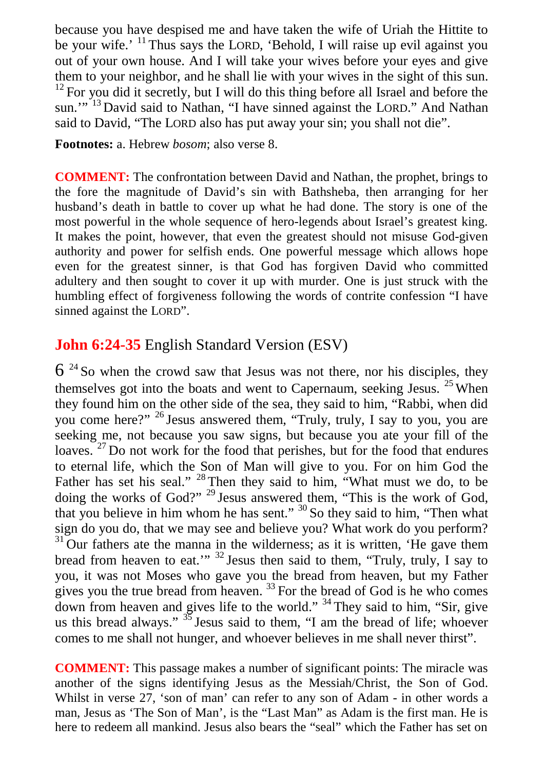because you have despised me and have taken the wife of Uriah the Hittite to be your wife.' <sup>11</sup> Thus says the LORD, 'Behold, I will raise up evil against you out of your own house. And I will take your wives before your eyes and give them to your neighbor, and he shall lie with your wives in the sight of this sun.  $12$  For you did it secretly, but I will do this thing before all Israel and before the sun."<sup>13</sup> David said to Nathan, "I have sinned against the LORD." And Nathan said to David, "The LORD also has put away your sin; you shall not die".

**Footnotes:** a. Hebrew *bosom*; also verse 8.

**COMMENT:** The confrontation between David and Nathan, the prophet, brings to the fore the magnitude of David's sin with Bathsheba, then arranging for her husband's death in battle to cover up what he had done. The story is one of the most powerful in the whole sequence of hero-legends about Israel's greatest king. It makes the point, however, that even the greatest should not misuse God-given authority and power for selfish ends. One powerful message which allows hope even for the greatest sinner, is that God has forgiven David who committed adultery and then sought to cover it up with murder. One is just struck with the humbling effect of forgiveness following the words of contrite confession "I have sinned against the LORD".

## **John 6:24-35** English Standard Version (ESV)

 $6^{24}$  So when the crowd saw that Jesus was not there, nor his disciples, they themselves got into the boats and went to Capernaum, seeking Jesus.  $25$  When they found him on the other side of the sea, they said to him, "Rabbi, when did you come here?" <sup>26</sup> Jesus answered them, "Truly, truly, I say to you, you are seeking me, not because you saw signs, but because you ate your fill of the loaves.<sup>27</sup> Do not work for the food that perishes, but for the food that endures to eternal life, which the Son of Man will give to you. For on him God the Father has set his seal."  $^{28}$  Then they said to him, "What must we do, to be doing the works of God?" <sup>29</sup> Jesus answered them, "This is the work of God, that you believe in him whom he has sent." <sup>30</sup> So they said to him, "Then what sign do you do, that we may see and believe you? What work do you perform?  $31$  Our fathers ate the manna in the wilderness; as it is written, 'He gave them bread from heaven to eat."<sup>32</sup> Jesus then said to them, "Truly, truly, I say to you, it was not Moses who gave you the bread from heaven, but my Father gives you the true bread from heaven. <sup>33</sup> For the bread of God is he who comes down from heaven and gives life to the world." <sup>34</sup> They said to him, "Sir, give us this bread always."  $35$  Jesus said to them, "I am the bread of life; whoever comes to me shall not hunger, and whoever believes in me shall never thirst".

**COMMENT:** This passage makes a number of significant points: The miracle was another of the signs identifying Jesus as the Messiah/Christ, the Son of God. Whilst in verse 27, 'son of man' can refer to any son of Adam - in other words a man, Jesus as 'The Son of Man', is the "Last Man" as Adam is the first man. He is here to redeem all mankind. Jesus also bears the "seal" which the Father has set on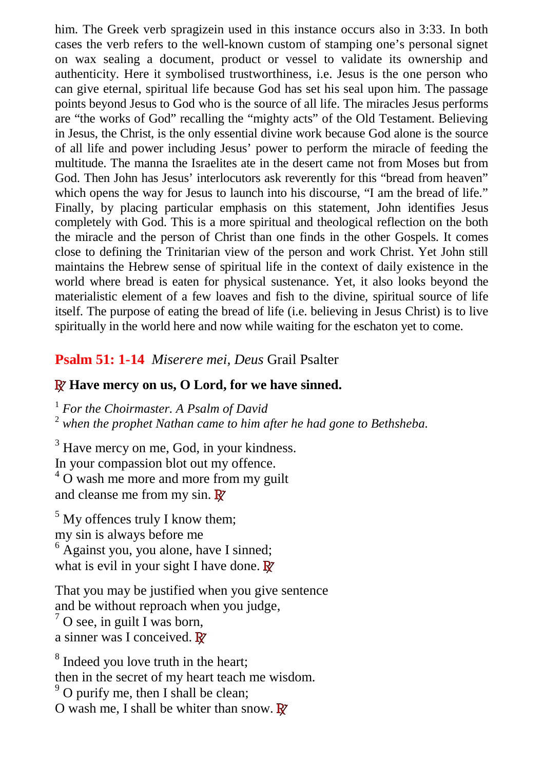him. The Greek verb spragizein used in this instance occurs also in 3:33. In both cases the verb refers to the well-known custom of stamping one's personal signet on wax sealing a document, product or vessel to validate its ownership and authenticity. Here it symbolised trustworthiness, i.e. Jesus is the one person who can give eternal, spiritual life because God has set his seal upon him. The passage points beyond Jesus to God who is the source of all life. The miracles Jesus performs are "the works of God" recalling the "mighty acts" of the Old Testament. Believing in Jesus, the Christ, is the only essential divine work because God alone is the source of all life and power including Jesus' power to perform the miracle of feeding the multitude. The manna the Israelites ate in the desert came not from Moses but from God. Then John has Jesus' interlocutors ask reverently for this "bread from heaven" which opens the way for Jesus to launch into his discourse, "I am the bread of life." Finally, by placing particular emphasis on this statement, John identifies Jesus completely with God. This is a more spiritual and theological reflection on the both the miracle and the person of Christ than one finds in the other Gospels. It comes close to defining the Trinitarian view of the person and work Christ. Yet John still maintains the Hebrew sense of spiritual life in the context of daily existence in the world where bread is eaten for physical sustenance. Yet, it also looks beyond the materialistic element of a few loaves and fish to the divine, spiritual source of life itself. The purpose of eating the bread of life (i.e. believing in Jesus Christ) is to live spiritually in the world here and now while waiting for the eschaton yet to come.

## **Psalm 51: 1-14** *Miserere mei, Deus* Grail Psalter

### **R Have mercy on us, O Lord, for we have sinned.**

<sup>1</sup> *For the Choirmaster. A Psalm of David*

2  *when the prophet Nathan came to him after he had gone to Bethsheba.*

<sup>3</sup> Have mercy on me, God, in your kindness. In your compassion blot out my offence.

 $4\overline{O}$  wash me more and more from my guilt

and cleanse me from my sin. **R**

 $<sup>5</sup>$  My offences truly I know them;</sup> my sin is always before me <sup>6</sup> Against you, you alone, have I sinned; what is evil in your sight I have done. **R**

That you may be justified when you give sentence and be without reproach when you judge,  $<sup>7</sup>$  O see, in guilt I was born,</sup> a sinner was I conceived. **R**

<sup>8</sup> Indeed you love truth in the heart; then in the secret of my heart teach me wisdom.  $9^9$  O purify me, then I shall be clean; O wash me, I shall be whiter than snow. **R**